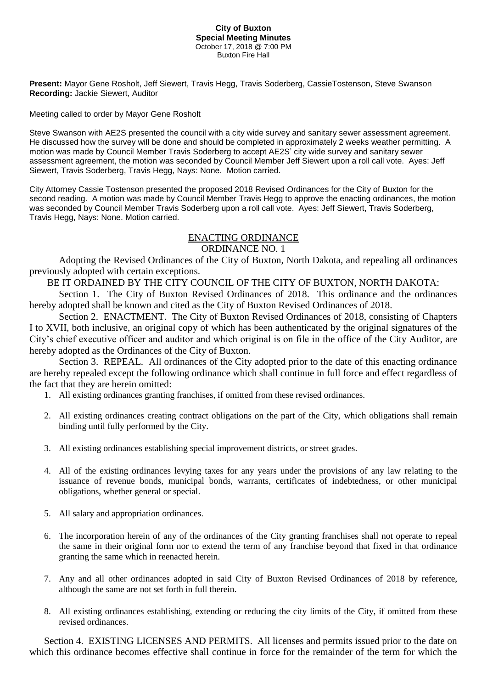## **City of Buxton Special Meeting Minutes** October 17, 2018 @ 7:00 PM Buxton Fire Hall

**Present:** Mayor Gene Rosholt, Jeff Siewert, Travis Hegg, Travis Soderberg, CassieTostenson, Steve Swanson **Recording:** Jackie Siewert, Auditor

Meeting called to order by Mayor Gene Rosholt

Steve Swanson with AE2S presented the council with a city wide survey and sanitary sewer assessment agreement. He discussed how the survey will be done and should be completed in approximately 2 weeks weather permitting. A motion was made by Council Member Travis Soderberg to accept AE2S' city wide survey and sanitary sewer assessment agreement, the motion was seconded by Council Member Jeff Siewert upon a roll call vote. Ayes: Jeff Siewert, Travis Soderberg, Travis Hegg, Nays: None. Motion carried.

City Attorney Cassie Tostenson presented the proposed 2018 Revised Ordinances for the City of Buxton for the second reading. A motion was made by Council Member Travis Hegg to approve the enacting ordinances, the motion was seconded by Council Member Travis Soderberg upon a roll call vote. Ayes: Jeff Siewert, Travis Soderberg, Travis Hegg, Nays: None. Motion carried.

## ENACTING ORDINANCE

## ORDINANCE NO. 1

Adopting the Revised Ordinances of the City of Buxton, North Dakota, and repealing all ordinances previously adopted with certain exceptions.

BE IT ORDAINED BY THE CITY COUNCIL OF THE CITY OF BUXTON, NORTH DAKOTA:

Section 1. The City of Buxton Revised Ordinances of 2018. This ordinance and the ordinances hereby adopted shall be known and cited as the City of Buxton Revised Ordinances of 2018.

Section 2. ENACTMENT. The City of Buxton Revised Ordinances of 2018, consisting of Chapters I to XVII, both inclusive, an original copy of which has been authenticated by the original signatures of the City's chief executive officer and auditor and which original is on file in the office of the City Auditor, are hereby adopted as the Ordinances of the City of Buxton.

Section 3. REPEAL. All ordinances of the City adopted prior to the date of this enacting ordinance are hereby repealed except the following ordinance which shall continue in full force and effect regardless of the fact that they are herein omitted:

- 1. All existing ordinances granting franchises, if omitted from these revised ordinances.
- 2. All existing ordinances creating contract obligations on the part of the City, which obligations shall remain binding until fully performed by the City.
- 3. All existing ordinances establishing special improvement districts, or street grades.
- 4. All of the existing ordinances levying taxes for any years under the provisions of any law relating to the issuance of revenue bonds, municipal bonds, warrants, certificates of indebtedness, or other municipal obligations, whether general or special.
- 5. All salary and appropriation ordinances.
- 6. The incorporation herein of any of the ordinances of the City granting franchises shall not operate to repeal the same in their original form nor to extend the term of any franchise beyond that fixed in that ordinance granting the same which in reenacted herein.
- 7. Any and all other ordinances adopted in said City of Buxton Revised Ordinances of 2018 by reference, although the same are not set forth in full therein.
- 8. All existing ordinances establishing, extending or reducing the city limits of the City, if omitted from these revised ordinances.

Section 4. EXISTING LICENSES AND PERMITS. All licenses and permits issued prior to the date on which this ordinance becomes effective shall continue in force for the remainder of the term for which the